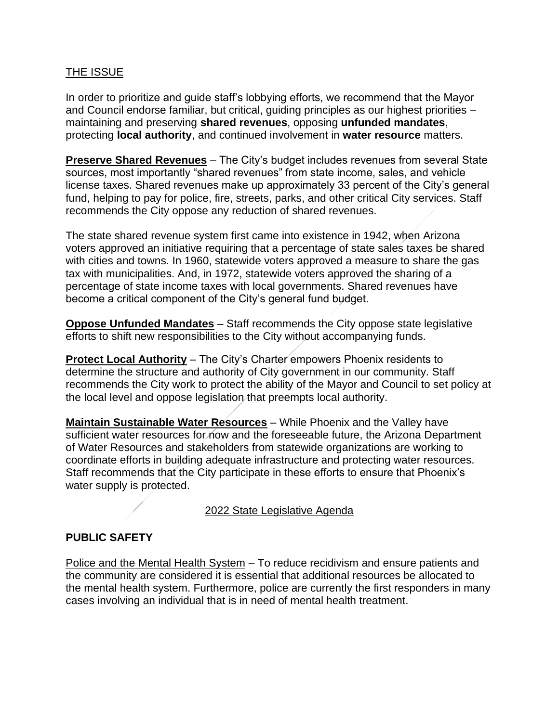### THE ISSUE

In order to prioritize and guide staff's lobbying efforts, we recommend that the Mayor and Council endorse familiar, but critical, guiding principles as our highest priorities – maintaining and preserving **shared revenues**, opposing **unfunded mandates**, protecting **local authority**, and continued involvement in **water resource** matters.

**Preserve Shared Revenues** – The City's budget includes revenues from several State sources, most importantly "shared revenues" from state income, sales, and vehicle license taxes. Shared revenues make up approximately 33 percent of the City's general fund, helping to pay for police, fire, streets, parks, and other critical City services. Staff recommends the City oppose any reduction of shared revenues.

The state shared revenue system first came into existence in 1942, when Arizona voters approved an initiative requiring that a percentage of state sales taxes be shared with cities and towns. In 1960, statewide voters approved a measure to share the gas tax with municipalities. And, in 1972, statewide voters approved the sharing of a percentage of state income taxes with local governments. Shared revenues have become a critical component of the City's general fund budget.

**Oppose Unfunded Mandates** – Staff recommends the City oppose state legislative efforts to shift new responsibilities to the City without accompanying funds.

**Protect Local Authority** – The City's Charter empowers Phoenix residents to determine the structure and authority of City government in our community. Staff recommends the City work to protect the ability of the Mayor and Council to set policy at the local level and oppose legislation that preempts local authority.

**Maintain Sustainable Water Resources** – While Phoenix and the Valley have sufficient water resources for now and the foreseeable future, the Arizona Department of Water Resources and stakeholders from statewide organizations are working to coordinate efforts in building adequate infrastructure and protecting water resources. Staff recommends that the City participate in these efforts to ensure that Phoenix's water supply is protected.

### 2022 State Legislative Agenda

## **PUBLIC SAFETY**

Police and the Mental Health System – To reduce recidivism and ensure patients and the community are considered it is essential that additional resources be allocated to the mental health system. Furthermore, police are currently the first responders in many cases involving an individual that is in need of mental health treatment.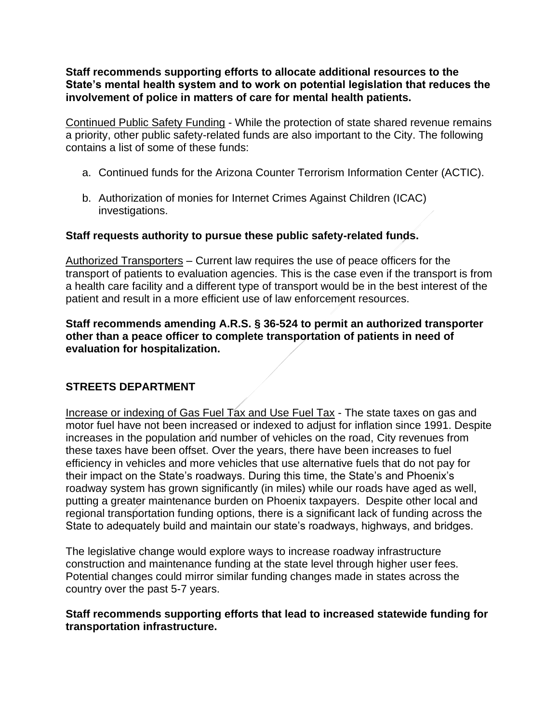**Staff recommends supporting efforts to allocate additional resources to the State's mental health system and to work on potential legislation that reduces the involvement of police in matters of care for mental health patients.**

Continued Public Safety Funding - While the protection of state shared revenue remains a priority, other public safety-related funds are also important to the City. The following contains a list of some of these funds:

- a. Continued funds for the Arizona Counter Terrorism Information Center (ACTIC).
- b. Authorization of monies for Internet Crimes Against Children (ICAC) investigations.

### **Staff requests authority to pursue these public safety-related funds.**

Authorized Transporters – Current law requires the use of peace officers for the transport of patients to evaluation agencies. This is the case even if the transport is from a health care facility and a different type of transport would be in the best interest of the patient and result in a more efficient use of law enforcement resources.

### **Staff recommends amending A.R.S. § 36-524 to permit an authorized transporter other than a peace officer to complete transportation of patients in need of evaluation for hospitalization.**

## **STREETS DEPARTMENT**

Increase or indexing of Gas Fuel Tax and Use Fuel Tax - The state taxes on gas and motor fuel have not been increased or indexed to adjust for inflation since 1991. Despite increases in the population and number of vehicles on the road, City revenues from these taxes have been offset. Over the years, there have been increases to fuel efficiency in vehicles and more vehicles that use alternative fuels that do not pay for their impact on the State's roadways. During this time, the State's and Phoenix's roadway system has grown significantly (in miles) while our roads have aged as well, putting a greater maintenance burden on Phoenix taxpayers. Despite other local and regional transportation funding options, there is a significant lack of funding across the State to adequately build and maintain our state's roadways, highways, and bridges.

The legislative change would explore ways to increase roadway infrastructure construction and maintenance funding at the state level through higher user fees. Potential changes could mirror similar funding changes made in states across the country over the past 5-7 years.

### **Staff recommends supporting efforts that lead to increased statewide funding for transportation infrastructure.**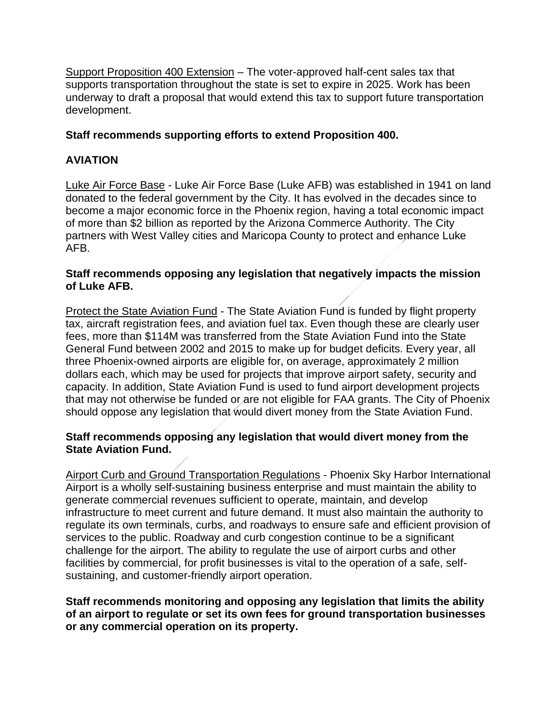Support Proposition 400 Extension – The voter-approved half-cent sales tax that supports transportation throughout the state is set to expire in 2025. Work has been underway to draft a proposal that would extend this tax to support future transportation development.

### **Staff recommends supporting efforts to extend Proposition 400.**

## **AVIATION**

Luke Air Force Base - Luke Air Force Base (Luke AFB) was established in 1941 on land donated to the federal government by the City. It has evolved in the decades since to become a major economic force in the Phoenix region, having a total economic impact of more than \$2 billion as reported by the Arizona Commerce Authority. The City partners with West Valley cities and Maricopa County to protect and enhance Luke AFB.

#### **Staff recommends opposing any legislation that negatively impacts the mission of Luke AFB.**

Protect the State Aviation Fund - The State Aviation Fund is funded by flight property tax, aircraft registration fees, and aviation fuel tax. Even though these are clearly user fees, more than \$114M was transferred from the State Aviation Fund into the State General Fund between 2002 and 2015 to make up for budget deficits. Every year, all three Phoenix-owned airports are eligible for, on average, approximately 2 million dollars each, which may be used for projects that improve airport safety, security and capacity. In addition, State Aviation Fund is used to fund airport development projects that may not otherwise be funded or are not eligible for FAA grants. The City of Phoenix should oppose any legislation that would divert money from the State Aviation Fund.

### **Staff recommends opposing any legislation that would divert money from the State Aviation Fund.**

**Airport Curb and Ground Transportation Regulations - Phoenix Sky Harbor International** Airport is a wholly self-sustaining business enterprise and must maintain the ability to generate commercial revenues sufficient to operate, maintain, and develop infrastructure to meet current and future demand. It must also maintain the authority to regulate its own terminals, curbs, and roadways to ensure safe and efficient provision of services to the public. Roadway and curb congestion continue to be a significant challenge for the airport. The ability to regulate the use of airport curbs and other facilities by commercial, for profit businesses is vital to the operation of a safe, selfsustaining, and customer-friendly airport operation.

### **Staff recommends monitoring and opposing any legislation that limits the ability of an airport to regulate or set its own fees for ground transportation businesses or any commercial operation on its property.**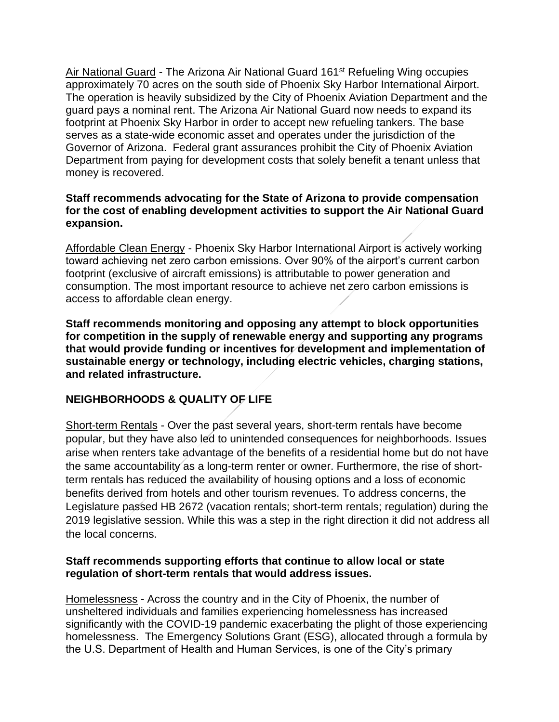Air National Guard - The Arizona Air National Guard 161<sup>st</sup> Refueling Wing occupies approximately 70 acres on the south side of Phoenix Sky Harbor International Airport. The operation is heavily subsidized by the City of Phoenix Aviation Department and the guard pays a nominal rent. The Arizona Air National Guard now needs to expand its footprint at Phoenix Sky Harbor in order to accept new refueling tankers. The base serves as a state-wide economic asset and operates under the jurisdiction of the Governor of Arizona. Federal grant assurances prohibit the City of Phoenix Aviation Department from paying for development costs that solely benefit a tenant unless that money is recovered.

### **Staff recommends advocating for the State of Arizona to provide compensation for the cost of enabling development activities to support the Air National Guard expansion.**

Affordable Clean Energy - Phoenix Sky Harbor International Airport is actively working toward achieving net zero carbon emissions. Over 90% of the airport's current carbon footprint (exclusive of aircraft emissions) is attributable to power generation and consumption. The most important resource to achieve net zero carbon emissions is access to affordable clean energy.

**Staff recommends monitoring and opposing any attempt to block opportunities for competition in the supply of renewable energy and supporting any programs that would provide funding or incentives for development and implementation of sustainable energy or technology, including electric vehicles, charging stations, and related infrastructure.**

## **NEIGHBORHOODS & QUALITY OF LIFE**

Short-term Rentals - Over the past several years, short-term rentals have become popular, but they have also led to unintended consequences for neighborhoods. Issues arise when renters take advantage of the benefits of a residential home but do not have the same accountability as a long-term renter or owner. Furthermore, the rise of shortterm rentals has reduced the availability of housing options and a loss of economic benefits derived from hotels and other tourism revenues. To address concerns, the Legislature passed HB 2672 (vacation rentals; short-term rentals; regulation) during the 2019 legislative session. While this was a step in the right direction it did not address all the local concerns.

### **Staff recommends supporting efforts that continue to allow local or state regulation of short-term rentals that would address issues.**

Homelessness - Across the country and in the City of Phoenix, the number of unsheltered individuals and families experiencing homelessness has increased significantly with the COVID-19 pandemic exacerbating the plight of those experiencing homelessness. The Emergency Solutions Grant (ESG), allocated through a formula by the U.S. Department of Health and Human Services, is one of the City's primary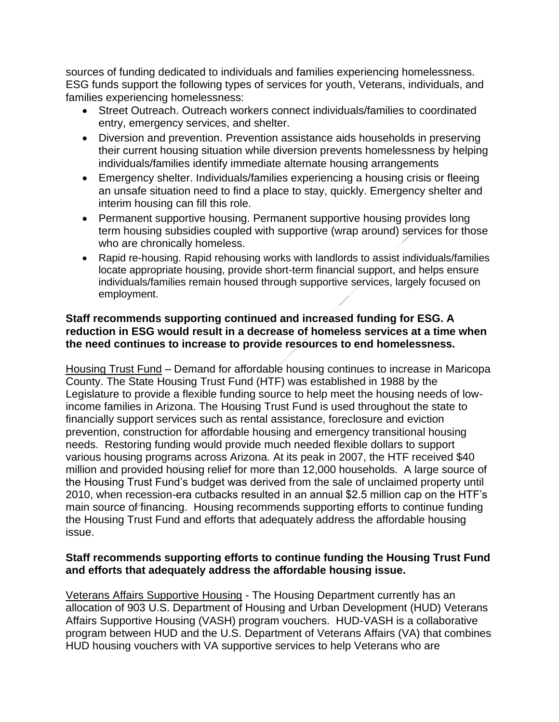sources of funding dedicated to individuals and families experiencing homelessness. ESG funds support the following types of services for youth, Veterans, individuals, and families experiencing homelessness:

- Street Outreach. Outreach workers connect individuals/families to coordinated entry, emergency services, and shelter.
- Diversion and prevention. Prevention assistance aids households in preserving their current housing situation while diversion prevents homelessness by helping individuals/families identify immediate alternate housing arrangements
- Emergency shelter. Individuals/families experiencing a housing crisis or fleeing an unsafe situation need to find a place to stay, quickly. Emergency shelter and interim housing can fill this role.
- Permanent supportive housing. Permanent supportive housing provides long term housing subsidies coupled with supportive (wrap around) services for those who are chronically homeless.
- Rapid re-housing. Rapid rehousing works with landlords to assist individuals/families locate appropriate housing, provide short-term financial support, and helps ensure individuals/families remain housed through supportive services, largely focused on employment.

### **Staff recommends supporting continued and increased funding for ESG. A reduction in ESG would result in a decrease of homeless services at a time when the need continues to increase to provide resources to end homelessness.**

Housing Trust Fund – Demand for affordable housing continues to increase in Maricopa County. The State Housing Trust Fund (HTF) was established in 1988 by the Legislature to provide a flexible funding source to help meet the housing needs of lowincome families in Arizona. The Housing Trust Fund is used throughout the state to financially support services such as rental assistance, foreclosure and eviction prevention, construction for affordable housing and emergency transitional housing needs. Restoring funding would provide much needed flexible dollars to support various housing programs across Arizona. At its peak in 2007, the HTF received \$40 million and provided housing relief for more than 12,000 households. A large source of the Housing Trust Fund's budget was derived from the sale of unclaimed property until 2010, when recession-era cutbacks resulted in an annual \$2.5 million cap on the HTF's main source of financing. Housing recommends supporting efforts to continue funding the Housing Trust Fund and efforts that adequately address the affordable housing issue.

### **Staff recommends supporting efforts to continue funding the Housing Trust Fund and efforts that adequately address the affordable housing issue.**

Veterans Affairs Supportive Housing - The Housing Department currently has an allocation of 903 U.S. Department of Housing and Urban Development (HUD) Veterans Affairs Supportive Housing (VASH) program vouchers. HUD-VASH is a collaborative program between HUD and the U.S. Department of Veterans Affairs (VA) that combines HUD housing vouchers with VA supportive services to help Veterans who are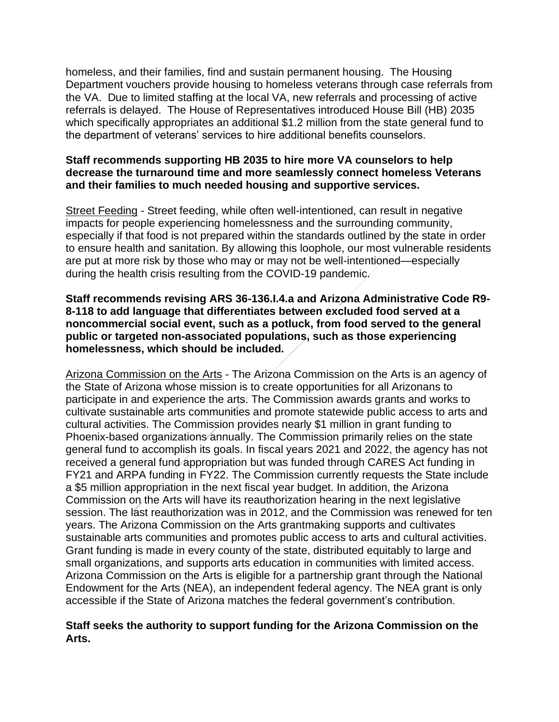homeless, and their families, find and sustain permanent housing. The Housing Department vouchers provide housing to homeless veterans through case referrals from the VA. Due to limited staffing at the local VA, new referrals and processing of active referrals is delayed. The House of Representatives introduced House Bill (HB) 2035 which specifically appropriates an additional \$1.2 million from the state general fund to the department of veterans' services to hire additional benefits counselors.

### **Staff recommends supporting HB 2035 to hire more VA counselors to help decrease the turnaround time and more seamlessly connect homeless Veterans and their families to much needed housing and supportive services.**

Street Feeding - Street feeding, while often well-intentioned, can result in negative impacts for people experiencing homelessness and the surrounding community, especially if that food is not prepared within the standards outlined by the state in order to ensure health and sanitation. By allowing this loophole, our most vulnerable residents are put at more risk by those who may or may not be well-intentioned—especially during the health crisis resulting from the COVID-19 pandemic.

### **Staff recommends revising ARS 36-136.I.4.a and Arizona Administrative Code R9- 8-118 to add language that differentiates between excluded food served at a noncommercial social event, such as a potluck, from food served to the general public or targeted non-associated populations, such as those experiencing homelessness, which should be included.**

Arizona Commission on the Arts - The Arizona Commission on the Arts is an agency of the State of Arizona whose mission is to create opportunities for all Arizonans to participate in and experience the arts. The Commission awards grants and works to cultivate sustainable arts communities and promote statewide public access to arts and cultural activities. The Commission provides nearly \$1 million in grant funding to Phoenix-based organizations annually. The Commission primarily relies on the state general fund to accomplish its goals. In fiscal years 2021 and 2022, the agency has not received a general fund appropriation but was funded through CARES Act funding in FY21 and ARPA funding in FY22. The Commission currently requests the State include a \$5 million appropriation in the next fiscal year budget. In addition, the Arizona Commission on the Arts will have its reauthorization hearing in the next legislative session. The last reauthorization was in 2012, and the Commission was renewed for ten years. The Arizona Commission on the Arts grantmaking supports and cultivates sustainable arts communities and promotes public access to arts and cultural activities. Grant funding is made in every county of the state, distributed equitably to large and small organizations, and supports arts education in communities with limited access. Arizona Commission on the Arts is eligible for a partnership grant through the National Endowment for the Arts (NEA), an independent federal agency. The NEA grant is only accessible if the State of Arizona matches the federal government's contribution.

### **Staff seeks the authority to support funding for the Arizona Commission on the Arts.**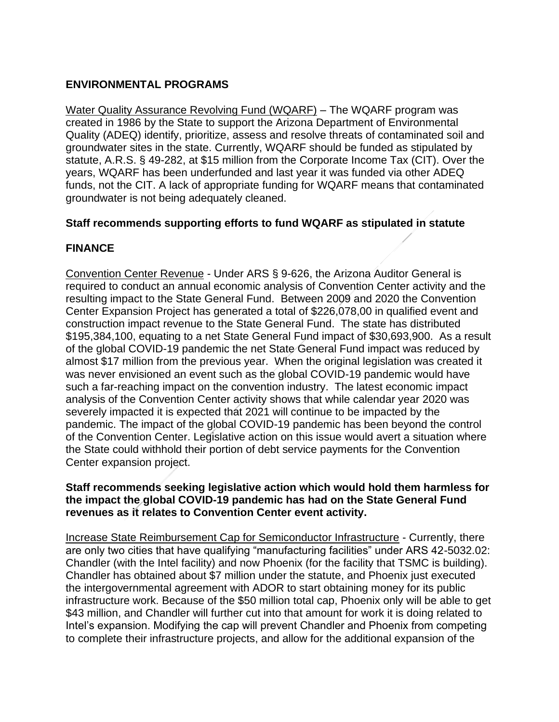# **ENVIRONMENTAL PROGRAMS**

Water Quality Assurance Revolving Fund (WQARF) – The WQARF program was created in 1986 by the State to support the Arizona Department of Environmental Quality (ADEQ) identify, prioritize, assess and resolve threats of contaminated soil and groundwater sites in the state. Currently, WQARF should be funded as stipulated by statute, A.R.S. § 49-282, at \$15 million from the Corporate Income Tax (CIT). Over the years, WQARF has been underfunded and last year it was funded via other ADEQ funds, not the CIT. A lack of appropriate funding for WQARF means that contaminated groundwater is not being adequately cleaned.

## **Staff recommends supporting efforts to fund WQARF as stipulated in statute**

# **FINANCE**

Convention Center Revenue - Under ARS § 9-626, the Arizona Auditor General is required to conduct an annual economic analysis of Convention Center activity and the resulting impact to the State General Fund. Between 2009 and 2020 the Convention Center Expansion Project has generated a total of \$226,078,00 in qualified event and construction impact revenue to the State General Fund. The state has distributed \$195,384,100, equating to a net State General Fund impact of \$30,693,900. As a result of the global COVID-19 pandemic the net State General Fund impact was reduced by almost \$17 million from the previous year. When the original legislation was created it was never envisioned an event such as the global COVID-19 pandemic would have such a far-reaching impact on the convention industry. The latest economic impact analysis of the Convention Center activity shows that while calendar year 2020 was severely impacted it is expected that 2021 will continue to be impacted by the pandemic. The impact of the global COVID-19 pandemic has been beyond the control of the Convention Center. Legislative action on this issue would avert a situation where the State could withhold their portion of debt service payments for the Convention Center expansion project.

### **Staff recommends seeking legislative action which would hold them harmless for the impact the global COVID-19 pandemic has had on the State General Fund revenues as it relates to Convention Center event activity.**

Increase State Reimbursement Cap for Semiconductor Infrastructure - Currently, there are only two cities that have qualifying "manufacturing facilities" under ARS 42-5032.02: Chandler (with the Intel facility) and now Phoenix (for the facility that TSMC is building). Chandler has obtained about \$7 million under the statute, and Phoenix just executed the intergovernmental agreement with ADOR to start obtaining money for its public infrastructure work. Because of the \$50 million total cap, Phoenix only will be able to get \$43 million, and Chandler will further cut into that amount for work it is doing related to Intel's expansion. Modifying the cap will prevent Chandler and Phoenix from competing to complete their infrastructure projects, and allow for the additional expansion of the